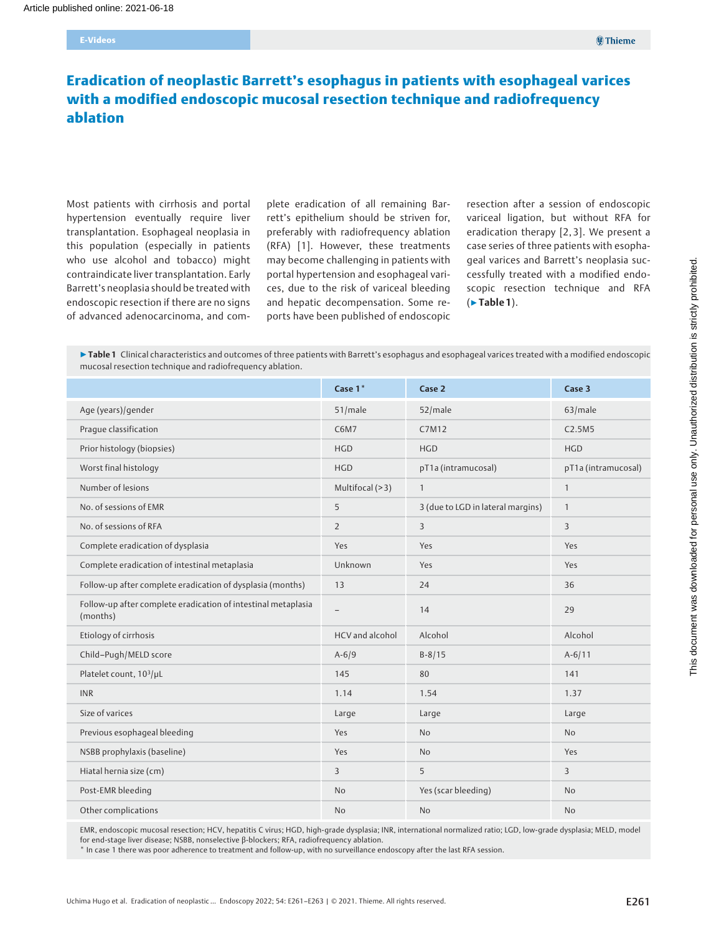# Eradication of neoplastic Barrett's esophagus in patients with esophageal varices with a modified endoscopic mucosal resection technique and radiofrequency ablation

Most patients with cirrhosis and portal hypertension eventually require liver transplantation. Esophageal neoplasia in this population (especially in patients who use alcohol and tobacco) might contraindicate liver transplantation. Early Barrett's neoplasia should be treated with endoscopic resection if there are no signs of advanced adenocarcinoma, and complete eradication of all remaining Barrett's epithelium should be striven for, preferably with radiofrequency ablation (RFA) [1]. However, these treatments may become challenging in patients with portal hypertension and esophageal varices, due to the risk of variceal bleeding and hepatic decompensation. Some reports have been published of endoscopic resection after a session of endoscopic variceal ligation, but without RFA for eradication therapy [2, 3]. We present a case series of three patients with esophageal varices and Barrett's neoplasia successfully treated with a modified endoscopic resection technique and RFA (▶Table 1).

▶ Table 1 Clinical characteristics and outcomes of three patients with Barrett's esophagus and esophageal varices treated with a modified endoscopic mucosal resection technique and radiofrequency ablation.

|                                                                           | Case 1*                  | Case 2                            | Case 3              |
|---------------------------------------------------------------------------|--------------------------|-----------------------------------|---------------------|
| Age (years)/gender                                                        | 51/male                  | 52/male                           | 63/male             |
| Praque classification                                                     | C6M7                     | C7M12                             | C2.5M5              |
| Prior histology (biopsies)                                                | <b>HGD</b>               | <b>HGD</b>                        | <b>HGD</b>          |
| Worst final histology                                                     | <b>HGD</b>               | pT1a (intramucosal)               | pT1a (intramucosal) |
| Number of lesions                                                         | Multifocal (>3)          | $\mathbf{1}$                      | $\mathbf{1}$        |
| No. of sessions of EMR                                                    | 5                        | 3 (due to LGD in lateral margins) | $\mathbf{1}$        |
| No. of sessions of RFA                                                    | $\overline{2}$           | $\overline{3}$                    | 3                   |
| Complete eradication of dysplasia                                         | Yes                      | Yes                               | Yes                 |
| Complete eradication of intestinal metaplasia                             | Unknown                  | Yes                               | Yes                 |
| Follow-up after complete eradication of dysplasia (months)                | 13                       | 24                                | 36                  |
| Follow-up after complete eradication of intestinal metaplasia<br>(months) | $\overline{\phantom{0}}$ | 14                                | 29                  |
| Etiology of cirrhosis                                                     | HCV and alcohol          | Alcohol                           | Alcohol             |
| Child-Pugh/MELD score                                                     | $A - 6/9$                | $B - 8/15$                        | $A-6/11$            |
| Platelet count, 10 <sup>3</sup> /µL                                       | 145                      | 80                                | 141                 |
| <b>INR</b>                                                                | 1.14                     | 1.54                              | 1.37                |
| Size of varices                                                           | Large                    | Large                             | Large               |
| Previous esophageal bleeding                                              | Yes                      | <b>No</b>                         | <b>No</b>           |
| NSBB prophylaxis (baseline)                                               | Yes                      | <b>No</b>                         | Yes                 |
| Hiatal hernia size (cm)                                                   | 3                        | 5                                 | 3                   |
| Post-EMR bleeding                                                         | N <sub>o</sub>           | Yes (scar bleeding)               | <b>No</b>           |
| Other complications                                                       | <b>No</b>                | <b>No</b>                         | <b>No</b>           |

EMR, endoscopic mucosal resection; HCV, hepatitis C virus; HGD, high-grade dysplasia; INR, international normalized ratio; LGD, low-grade dysplasia; MELD, model for end-stage liver disease; NSBB, nonselective β-blockers; RFA, radiofrequency ablation.

\* In case 1 there was poor adherence to treatment and follow-up, with no surveillance endoscopy after the last RFA session.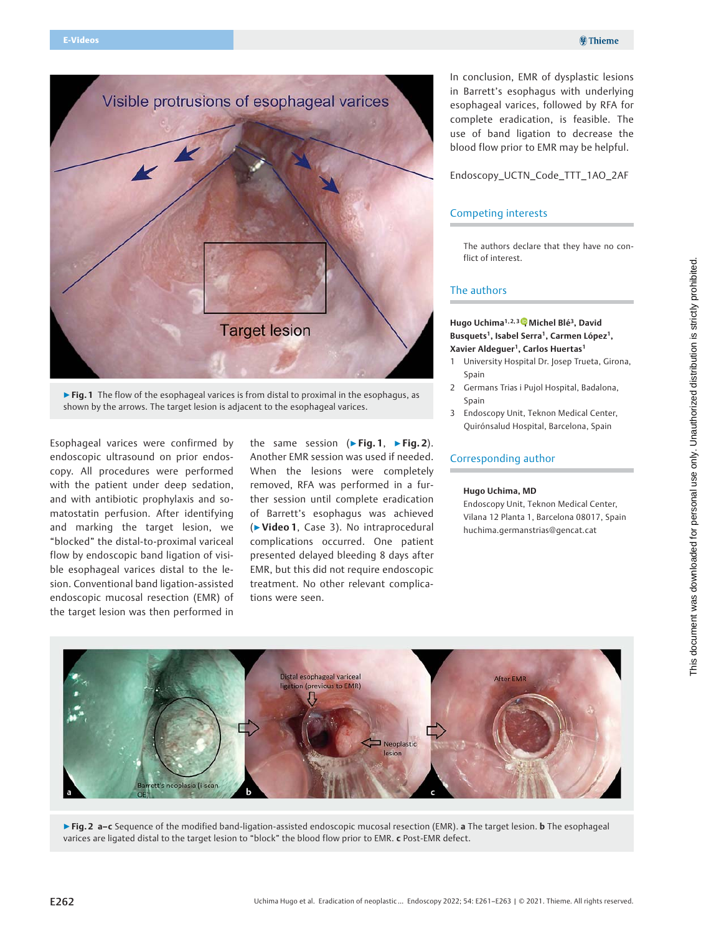

▶ Fig. 1 The flow of the esophageal varices is from distal to proximal in the esophagus, as shown by the arrows. The target lesion is adjacent to the esophageal varices.

Esophageal varices were confirmed by endoscopic ultrasound on prior endoscopy. All procedures were performed with the patient under deep sedation, and with antibiotic prophylaxis and somatostatin perfusion. After identifying and marking the target lesion, we "blocked" the distal-to-proximal variceal flow by endoscopic band ligation of visible esophageal varices distal to the lesion. Conventional band ligation-assisted endoscopic mucosal resection (EMR) of the target lesion was then performed in

the same session ( $\blacktriangleright$  Fig. 1,  $\blacktriangleright$  Fig. 2). Another EMR session was used if needed. When the lesions were completely removed, RFA was performed in a further session until complete eradication of Barrett's esophagus was achieved (▶Video 1, Case 3). No intraprocedural complications occurred. One patient presented delayed bleeding 8 days after EMR, but this did not require endoscopic treatment. No other relevant complications were seen.

In conclusion, EMR of dysplastic lesions in Barrett's esophagus with underlying esophageal varices, followed by RFA for complete eradication, is feasible. The use of band ligation to decrease the blood flow prior to EMR may be helpful.

Endoscopy\_UCTN\_Code\_TTT\_1AO\_2AF

### Competing interests

The authors declare that they have no conflict of interest.

### The authors

### Hugo Uchima<sup>1[,](https://orcid.org/0000-0001-8411-4993) 2, 3</sup> Michel Blé<sup>3</sup>, David Busquets<sup>1</sup>, Isabel Serra<sup>1</sup>, Carmen López<sup>1</sup>, Xavier Aldequer<sup>1</sup>, Carlos Huertas<sup>1</sup>

- 1 University Hospital Dr. Josep Trueta, Girona, Spain
- 2 Germans Trias i Pujol Hospital, Badalona, Spain
- 3 Endoscopy Unit, Teknon Medical Center, Quirónsalud Hospital, Barcelona, Spain

## Corresponding author

#### Hugo Uchima, MD

Endoscopy Unit, Teknon Medical Center, Vilana 12 Planta 1, Barcelona 08017, Spain huchima.germanstrias@gencat.cat



▶Fig. 2 a-c Sequence of the modified band-ligation-assisted endoscopic mucosal resection (EMR). a The target lesion. b The esophageal varices are ligated distal to the target lesion to "block" the blood flow prior to EMR. c Post-EMR defect.